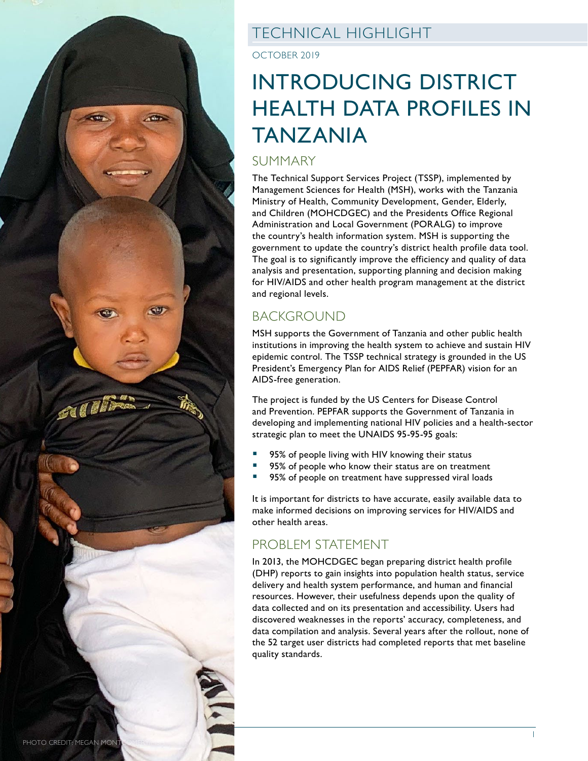

# TECHNICAL HIGHLIGHT

OCTOBER 2019

# INTRODUCING DISTRICT HEALTH DATA PROFILES IN TANZANIA

## SUMMARY

The Technical Support Services Project (TSSP), implemented by Management Sciences for Health (MSH), works with the Tanzania Ministry of Health, Community Development, Gender, Elderly, and Children (MOHCDGEC) and the Presidents Office Regional Administration and Local Government (PORALG) to improve the country's health information system. MSH is supporting the government to update the country's district health profile data tool. The goal is to significantly improve the efficiency and quality of data analysis and presentation, supporting planning and decision making for HIV/AIDS and other health program management at the district and regional levels.

# BACKGROUND

MSH supports the Government of Tanzania and other public health institutions in improving the health system to achieve and sustain HIV epidemic control. The TSSP technical strategy is grounded in the US President's Emergency Plan for AIDS Relief (PEPFAR) vision for an AIDS-free generation.

The project is funded by the US Centers for Disease Control and Prevention. PEPFAR supports the Government of Tanzania in developing and implementing national HIV policies and a health-sector strategic plan to meet the UNAIDS 95-95-95 goals:

- 95% of people living with HIV knowing their status
- 95% of people who know their status are on treatment
- 95% of people on treatment have suppressed viral loads

It is important for districts to have accurate, easily available data to make informed decisions on improving services for HIV/AIDS and other health areas.

## PROBLEM STATEMENT

In 2013, the MOHCDGEC began preparing district health profile (DHP) reports to gain insights into population health status, service delivery and health system performance, and human and financial resources. However, their usefulness depends upon the quality of data collected and on its presentation and accessibility. Users had discovered weaknesses in the reports' accuracy, completeness, and data compilation and analysis. Several years after the rollout, none of the 52 target user districts had completed reports that met baseline quality standards.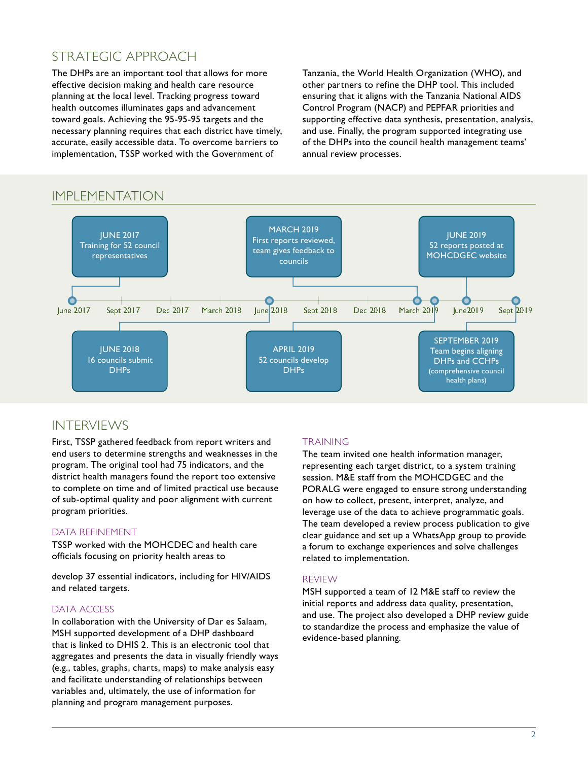# STRATEGIC APPROACH

The DHPs are an important tool that allows for more effective decision making and health care resource planning at the local level. Tracking progress toward health outcomes illuminates gaps and advancement toward goals. Achieving the 95-95-95 targets and the necessary planning requires that each district have timely, accurate, easily accessible data. To overcome barriers to implementation, TSSP worked with the Government of

Tanzania, the World Health Organization (WHO), and other partners to refine the DHP tool. This included ensuring that it aligns with the Tanzania National AIDS Control Program (NACP) and PEPFAR priorities and supporting effective data synthesis, presentation, analysis, and use. Finally, the program supported integrating use of the DHPs into the council health management teams' annual review processes.

## IMPLEMENTATION



### INTERVIEWS

First, TSSP gathered feedback from report writers and end users to determine strengths and weaknesses in the program. The original tool had 75 indicators, and the district health managers found the report too extensive to complete on time and of limited practical use because of sub-optimal quality and poor alignment with current program priorities.

#### DATA REFINEMENT

TSSP worked with the MOHCDEC and health care officials focusing on priority health areas to

develop 37 essential indicators, including for HIV/AIDS and related targets.

#### DATA ACCESS

In collaboration with the University of Dar es Salaam, MSH supported development of a DHP dashboard that is linked to DHIS 2. This is an electronic tool that aggregates and presents the data in visually friendly ways (e.g., tables, graphs, charts, maps) to make analysis easy and facilitate understanding of relationships between variables and, ultimately, the use of information for planning and program management purposes.

#### TRAINING

The team invited one health information manager, representing each target district, to a system training session. M&E staff from the MOHCDGEC and the PORALG were engaged to ensure strong understanding on how to collect, present, interpret, analyze, and leverage use of the data to achieve programmatic goals. The team developed a review process publication to give clear guidance and set up a WhatsApp group to provide a forum to exchange experiences and solve challenges related to implementation.

#### REVIEW

MSH supported a team of 12 M&E staff to review the initial reports and address data quality, presentation, and use. The project also developed a DHP review guide to standardize the process and emphasize the value of evidence-based planning.